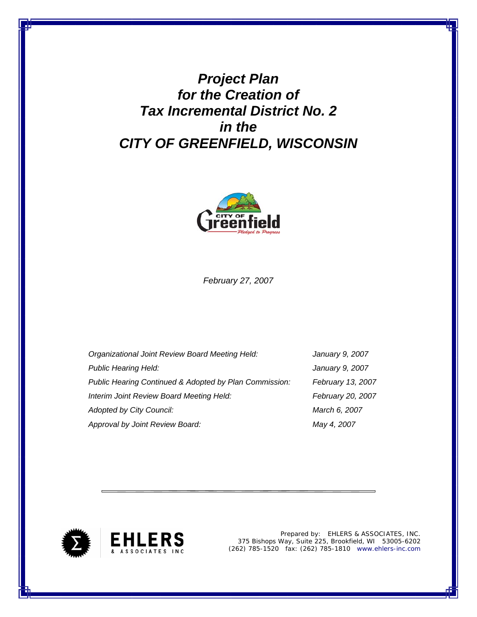*Project Plan for the Creation of Tax Incremental District No. 2 in the CITY OF GREENFIELD, WISCONSIN*



*February 27, 2007* 

| Organizational Joint Review Board Meeting Held:        | January 9, 2007   |
|--------------------------------------------------------|-------------------|
| <b>Public Hearing Held:</b>                            | January 9, 2007   |
| Public Hearing Continued & Adopted by Plan Commission: | February 13, 2007 |
| Interim Joint Review Board Meeting Held:               | February 20, 2007 |
| <b>Adopted by City Council:</b>                        | March 6, 2007     |
| Approval by Joint Review Board:                        | May 4, 2007       |



Prepared by: EHLERS & ASSOCIATES, INC. 375 Bishops Way, Suite 225, Brookfield, WI 53005-6202 (262) 785-1520 fax: (262) 785-1810 www.ehlers-inc.com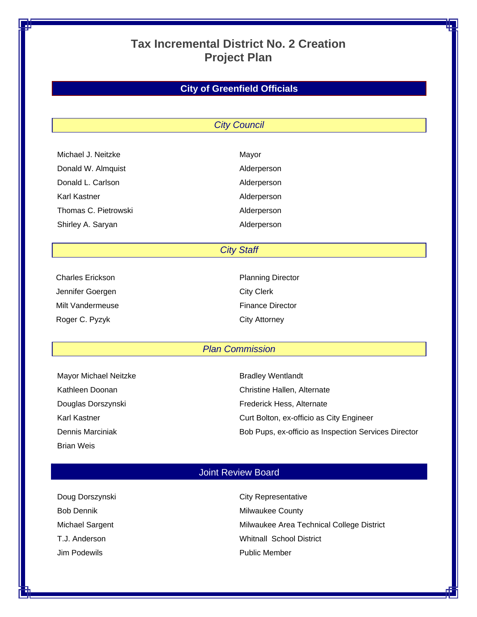# **Tax Incremental District No. 2 Creation Project Plan**

# **City of Greenfield Officials**

#### *City Council*

| Michael J. Neitzke   | Mayor       |
|----------------------|-------------|
| Donald W. Almquist   | Alderperson |
| Donald L. Carlson    | Alderperson |
| Karl Kastner         | Alderperson |
| Thomas C. Pietrowski | Alderperson |
| Shirley A. Saryan    | Alderperson |
|                      |             |

*City Staff* 

| Charles Erickson |
|------------------|
| Jennifer Goergen |
| Milt Vandermeuse |
| Roger C. Pyzyk   |

Planning Director City Clerk Finance Director **City Attorney** 

#### *Plan Commission*

| Mayor Michael Neitzke |
|-----------------------|
| Kathleen Doonan       |
| Douglas Dorszynski    |
| Karl Kastner          |
| Dennis Marciniak      |
| <b>Brian Weis</b>     |

Bradley Wentlandt Christine Hallen, Alternate Frederick Hess, Alternate Curt Bolton, ex-officio as City Engineer Bob Pups, ex-officio as Inspection Services Director

### Joint Review Board

| Doug Dorszynski   | <b>City Representative</b>                |
|-------------------|-------------------------------------------|
| <b>Bob Dennik</b> | Milwaukee County                          |
| Michael Sargent   | Milwaukee Area Technical College District |
| T.J. Anderson     | <b>Whitnall School District</b>           |
| Jim Podewils      | <b>Public Member</b>                      |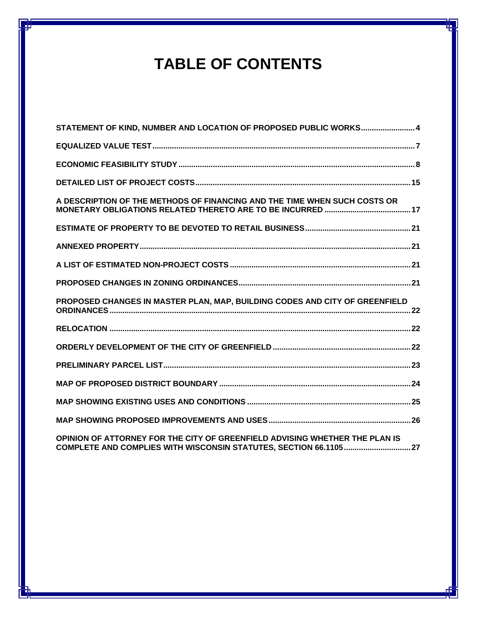# **TABLE OF CONTENTS**

| STATEMENT OF KIND, NUMBER AND LOCATION OF PROPOSED PUBLIC WORKS 4           |
|-----------------------------------------------------------------------------|
|                                                                             |
|                                                                             |
|                                                                             |
| A DESCRIPTION OF THE METHODS OF FINANCING AND THE TIME WHEN SUCH COSTS OR   |
|                                                                             |
|                                                                             |
|                                                                             |
|                                                                             |
| PROPOSED CHANGES IN MASTER PLAN, MAP, BUILDING CODES AND CITY OF GREENFIELD |
|                                                                             |
|                                                                             |
|                                                                             |
|                                                                             |
|                                                                             |
|                                                                             |
| OPINION OF ATTORNEY FOR THE CITY OF GREENFIELD ADVISING WHETHER THE PLAN IS |

**COMPLETE AND COMPLIES WITH WISCONSIN STATUTES, SECTION 66.1105...............................27**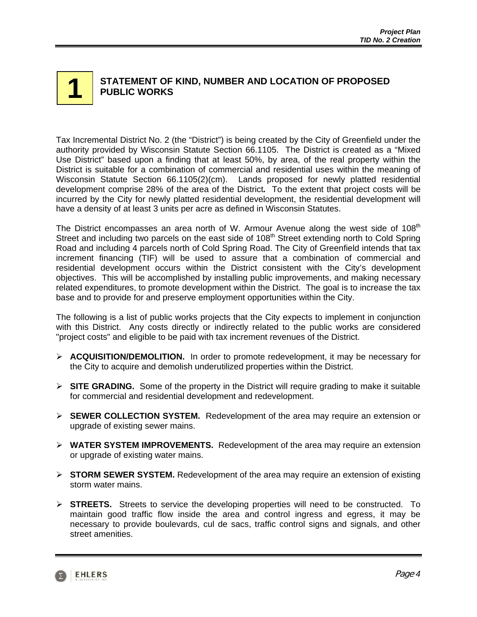#### **STATEMENT OF KIND, NUMBER AND LOCATION OF PROPOSED PUBLIC WORKS 1**

Tax Incremental District No. 2 (the "District") is being created by the City of Greenfield under the authority provided by Wisconsin Statute Section 66.1105. The District is created as a "Mixed Use District" based upon a finding that at least 50%, by area, of the real property within the District is suitable for a combination of commercial and residential uses within the meaning of Wisconsin Statute Section 66.1105(2)(cm). Lands proposed for newly platted residential development comprise 28% of the area of the District*.* To the extent that project costs will be incurred by the City for newly platted residential development, the residential development will have a density of at least 3 units per acre as defined in Wisconsin Statutes.

The District encompasses an area north of W. Armour Avenue along the west side of  $108<sup>th</sup>$ Street and including two parcels on the east side of 108<sup>th</sup> Street extending north to Cold Spring Road and including 4 parcels north of Cold Spring Road. The City of Greenfield intends that tax increment financing (TIF) will be used to assure that a combination of commercial and residential development occurs within the District consistent with the City's development objectives. This will be accomplished by installing public improvements, and making necessary related expenditures, to promote development within the District. The goal is to increase the tax base and to provide for and preserve employment opportunities within the City.

The following is a list of public works projects that the City expects to implement in conjunction with this District. Any costs directly or indirectly related to the public works are considered "project costs" and eligible to be paid with tax increment revenues of the District.

- ¾ **ACQUISITION/DEMOLITION.** In order to promote redevelopment, it may be necessary for the City to acquire and demolish underutilized properties within the District.
- ¾ **SITE GRADING.** Some of the property in the District will require grading to make it suitable for commercial and residential development and redevelopment.
- ¾ **SEWER COLLECTION SYSTEM.** Redevelopment of the area may require an extension or upgrade of existing sewer mains.
- ¾ **WATER SYSTEM IMPROVEMENTS.** Redevelopment of the area may require an extension or upgrade of existing water mains.
- ¾ **STORM SEWER SYSTEM.** Redevelopment of the area may require an extension of existing storm water mains.
- ¾ **STREETS.** Streets to service the developing properties will need to be constructed. To maintain good traffic flow inside the area and control ingress and egress, it may be necessary to provide boulevards, cul de sacs, traffic control signs and signals, and other street amenities.

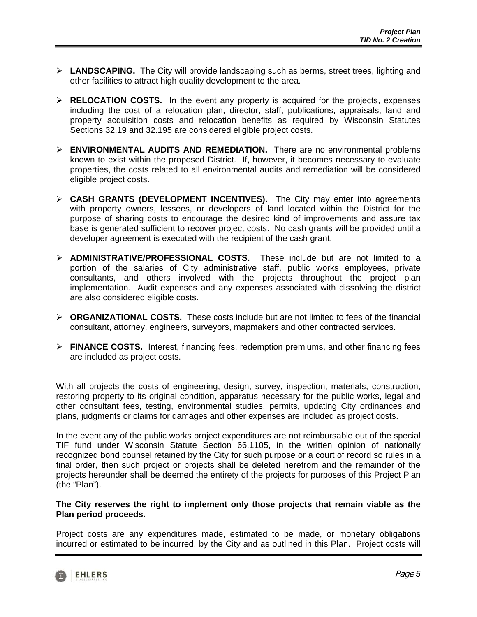- ¾ **LANDSCAPING.** The City will provide landscaping such as berms, street trees, lighting and other facilities to attract high quality development to the area.
- ¾ **RELOCATION COSTS.** In the event any property is acquired for the projects, expenses including the cost of a relocation plan, director, staff, publications, appraisals, land and property acquisition costs and relocation benefits as required by Wisconsin Statutes Sections 32.19 and 32.195 are considered eligible project costs.
- ¾ **ENVIRONMENTAL AUDITS AND REMEDIATION.** There are no environmental problems known to exist within the proposed District. If, however, it becomes necessary to evaluate properties, the costs related to all environmental audits and remediation will be considered eligible project costs.
- ¾ **CASH GRANTS (DEVELOPMENT INCENTIVES).** The City may enter into agreements with property owners, lessees, or developers of land located within the District for the purpose of sharing costs to encourage the desired kind of improvements and assure tax base is generated sufficient to recover project costs. No cash grants will be provided until a developer agreement is executed with the recipient of the cash grant.
- ¾ **ADMINISTRATIVE/PROFESSIONAL COSTS.** These include but are not limited to a portion of the salaries of City administrative staff, public works employees, private consultants, and others involved with the projects throughout the project plan implementation. Audit expenses and any expenses associated with dissolving the district are also considered eligible costs.
- ¾ **ORGANIZATIONAL COSTS.** These costs include but are not limited to fees of the financial consultant, attorney, engineers, surveyors, mapmakers and other contracted services.
- ¾ **FINANCE COSTS.** Interest, financing fees, redemption premiums, and other financing fees are included as project costs.

With all projects the costs of engineering, design, survey, inspection, materials, construction, restoring property to its original condition, apparatus necessary for the public works, legal and other consultant fees, testing, environmental studies, permits, updating City ordinances and plans, judgments or claims for damages and other expenses are included as project costs.

In the event any of the public works project expenditures are not reimbursable out of the special TIF fund under Wisconsin Statute Section 66.1105, in the written opinion of nationally recognized bond counsel retained by the City for such purpose or a court of record so rules in a final order, then such project or projects shall be deleted herefrom and the remainder of the projects hereunder shall be deemed the entirety of the projects for purposes of this Project Plan (the "Plan").

#### **The City reserves the right to implement only those projects that remain viable as the Plan period proceeds.**

Project costs are any expenditures made, estimated to be made, or monetary obligations incurred or estimated to be incurred, by the City and as outlined in this Plan. Project costs will

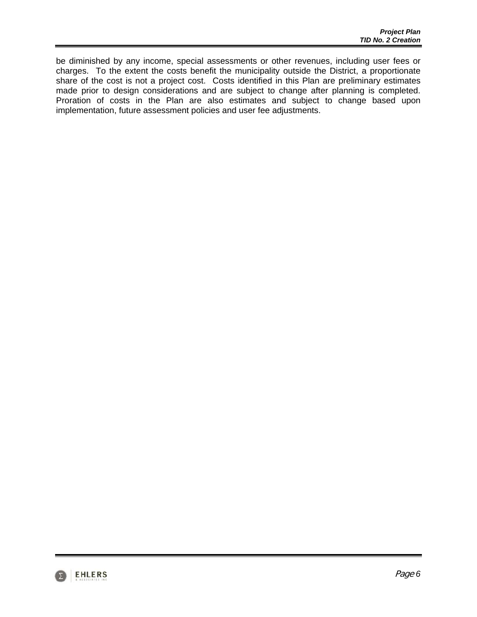be diminished by any income, special assessments or other revenues, including user fees or charges. To the extent the costs benefit the municipality outside the District, a proportionate share of the cost is not a project cost. Costs identified in this Plan are preliminary estimates made prior to design considerations and are subject to change after planning is completed. Proration of costs in the Plan are also estimates and subject to change based upon implementation, future assessment policies and user fee adjustments.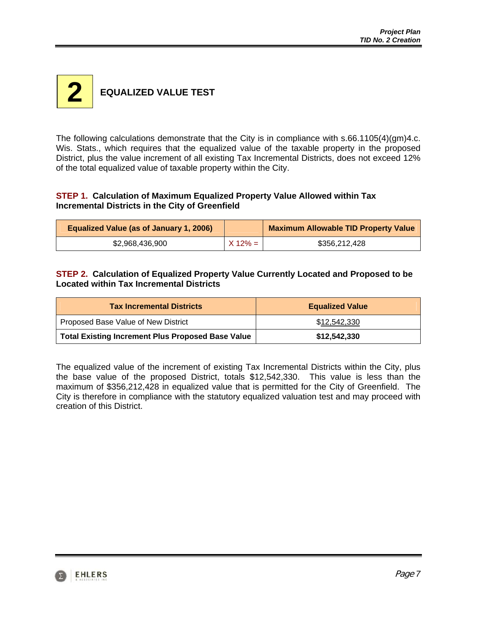

The following calculations demonstrate that the City is in compliance with s.66.1105(4)(gm)4.c. Wis. Stats., which requires that the equalized value of the taxable property in the proposed District, plus the value increment of all existing Tax Incremental Districts, does not exceed 12% of the total equalized value of taxable property within the City.

#### **STEP 1. Calculation of Maximum Equalized Property Value Allowed within Tax Incremental Districts in the City of Greenfield**

| <b>Equalized Value (as of January 1, 2006)</b> |            | <b>Maximum Allowable TID Property Value</b> |
|------------------------------------------------|------------|---------------------------------------------|
| \$2,968,436,900                                | $X 12\% =$ | \$356,212,428                               |

#### **STEP 2. Calculation of Equalized Property Value Currently Located and Proposed to be Located within Tax Incremental Districts**

| <b>Tax Incremental Districts</b>                         | <b>Equalized Value</b> |  |
|----------------------------------------------------------|------------------------|--|
| Proposed Base Value of New District                      | \$12,542,330           |  |
| <b>Total Existing Increment Plus Proposed Base Value</b> | \$12,542,330           |  |

The equalized value of the increment of existing Tax Incremental Districts within the City, plus the base value of the proposed District, totals \$12,542,330. This value is less than the maximum of \$356,212,428 in equalized value that is permitted for the City of Greenfield. The City is therefore in compliance with the statutory equalized valuation test and may proceed with creation of this District.

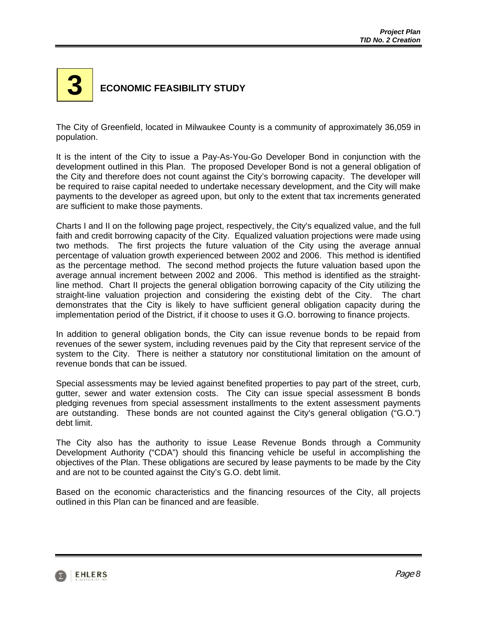# **ECONOMIC FEASIBILITY STUDY 3**

The City of Greenfield, located in Milwaukee County is a community of approximately 36,059 in population.

It is the intent of the City to issue a Pay-As-You-Go Developer Bond in conjunction with the development outlined in this Plan. The proposed Developer Bond is not a general obligation of the City and therefore does not count against the City's borrowing capacity. The developer will be required to raise capital needed to undertake necessary development, and the City will make payments to the developer as agreed upon, but only to the extent that tax increments generated are sufficient to make those payments.

Charts I and II on the following page project, respectively, the City's equalized value, and the full faith and credit borrowing capacity of the City. Equalized valuation projections were made using two methods. The first projects the future valuation of the City using the average annual percentage of valuation growth experienced between 2002 and 2006. This method is identified as the percentage method. The second method projects the future valuation based upon the average annual increment between 2002 and 2006. This method is identified as the straightline method. Chart II projects the general obligation borrowing capacity of the City utilizing the straight-line valuation projection and considering the existing debt of the City. The chart demonstrates that the City is likely to have sufficient general obligation capacity during the implementation period of the District, if it choose to uses it G.O. borrowing to finance projects.

In addition to general obligation bonds, the City can issue revenue bonds to be repaid from revenues of the sewer system, including revenues paid by the City that represent service of the system to the City. There is neither a statutory nor constitutional limitation on the amount of revenue bonds that can be issued.

Special assessments may be levied against benefited properties to pay part of the street, curb, gutter, sewer and water extension costs. The City can issue special assessment B bonds pledging revenues from special assessment installments to the extent assessment payments are outstanding. These bonds are not counted against the City's general obligation ("G.O.") debt limit.

The City also has the authority to issue Lease Revenue Bonds through a Community Development Authority ("CDA") should this financing vehicle be useful in accomplishing the objectives of the Plan. These obligations are secured by lease payments to be made by the City and are not to be counted against the City's G.O. debt limit.

Based on the economic characteristics and the financing resources of the City, all projects outlined in this Plan can be financed and are feasible.

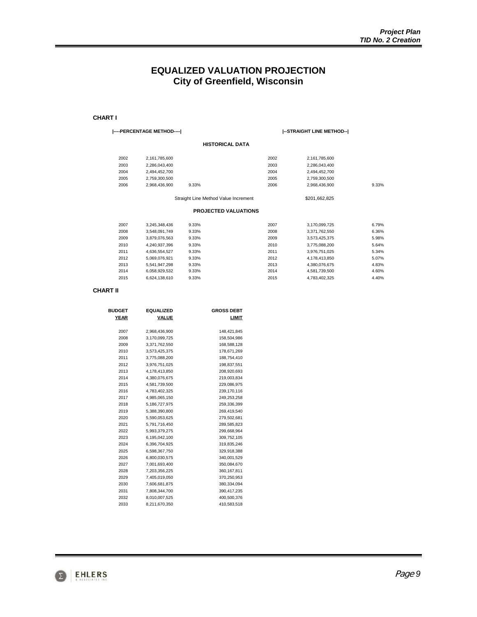## **EQUALIZED VALUATION PROJECTION City of Greenfield, Wisconsin**

#### **CHART I**

#### **|----PERCENTAGE METHOD----|**

#### **|--STRAIGHT LINE METHOD--|**

\$201,662,825

| 2002 | 2,161,785,600 |       | 2002 | 2,161,785,600 |       |
|------|---------------|-------|------|---------------|-------|
| 2003 | 2.286.043.400 |       | 2003 | 2.286.043.400 |       |
| 2004 | 2.494.452.700 |       | 2004 | 2,494,452,700 |       |
| 2005 | 2.759.300.500 |       | 2005 | 2.759.300.500 |       |
| 2006 | 2.968.436.900 | 9.33% | 2006 | 2.968.436.900 | 9.33% |
|      |               |       |      |               |       |

Straight Line Method Value Increment

#### **PROJECTED VALUATIONS**

| 2007 | 3.245.348.436 | 9.33% | 2007 | 3.170.099.725 | 6.79% |
|------|---------------|-------|------|---------------|-------|
| 2008 | 3.548.091.749 | 9.33% | 2008 | 3.371.762.550 | 6.36% |
| 2009 | 3.879.076.563 | 9.33% | 2009 | 3.573.425.375 | 5.98% |
| 2010 | 4.240.937.396 | 9.33% | 2010 | 3.775.088.200 | 5.64% |
| 2011 | 4.636.554.527 | 9.33% | 2011 | 3.976.751.025 | 5.34% |
| 2012 | 5.069.076.921 | 9.33% | 2012 | 4.178.413.850 | 5.07% |
| 2013 | 5.541.947.298 | 9.33% | 2013 | 4.380.076.675 | 4.83% |
| 2014 | 6.058.929.532 | 9.33% | 2014 | 4.581.739.500 | 4.60% |
| 2015 | 6.624.138.610 | 9.33% | 2015 | 4.783.402.325 | 4.40% |

#### **CHART II**

| <b>BUDGET</b> | <b>EQUALIZED</b> | <b>GROSS DEBT</b> |
|---------------|------------------|-------------------|
| <b>YEAR</b>   | VALUE            | LIMIT             |
|               |                  |                   |
| 2007          | 2,968,436,900    | 148,421,845       |
| 2008          | 3,170,099,725    | 158,504,986       |
| 2009          | 3,371,762,550    | 168,588,128       |
| 2010          | 3,573,425,375    | 178,671,269       |
| 2011          | 3,775,088,200    | 188,754,410       |
| 2012          | 3,976,751,025    | 198,837,551       |
| 2013          | 4,178,413,850    | 208,920,693       |
| 2014          | 4,380,076,675    | 219,003,834       |
| 2015          | 4,581,739,500    | 229,086,975       |
| 2016          | 4,783,402,325    | 239,170,116       |
| 2017          | 4,985,065,150    | 249,253,258       |
| 2018          | 5,186,727,975    | 259,336,399       |
| 2019          | 5,388,390,800    | 269,419,540       |
| 2020          | 5,590,053,625    | 279,502,681       |
| 2021          | 5,791,716,450    | 289,585,823       |
| 2022          | 5,993,379,275    | 299.668.964       |
| 2023          | 6,195,042,100    | 309,752,105       |
| 2024          | 6,396,704,925    | 319,835,246       |
| 2025          | 6,598,367,750    | 329,918,388       |
| 2026          | 6,800,030,575    | 340,001,529       |
| 2027          | 7,001,693,400    | 350,084,670       |
| 2028          | 7,203,356,225    | 360,167,811       |
| 2029          | 7,405,019,050    | 370,250,953       |
| 2030          | 7,606,681,875    | 380,334,094       |
| 2031          | 7,808,344,700    | 390,417,235       |
| 2032          | 8,010,007,525    | 400,500,376       |
| 2033          | 8,211,670,350    | 410,583,518       |
|               |                  |                   |

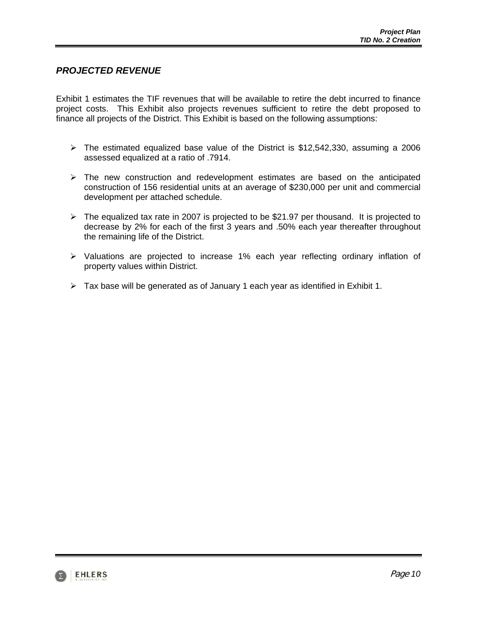#### *PROJECTED REVENUE*

Exhibit 1 estimates the TIF revenues that will be available to retire the debt incurred to finance project costs. This Exhibit also projects revenues sufficient to retire the debt proposed to finance all projects of the District. This Exhibit is based on the following assumptions:

- $\triangleright$  The estimated equalized base value of the District is \$12,542,330, assuming a 2006 assessed equalized at a ratio of .7914.
- $\triangleright$  The new construction and redevelopment estimates are based on the anticipated construction of 156 residential units at an average of \$230,000 per unit and commercial development per attached schedule.
- $\triangleright$  The equalized tax rate in 2007 is projected to be \$21.97 per thousand. It is projected to decrease by 2% for each of the first 3 years and .50% each year thereafter throughout the remaining life of the District.
- ¾ Valuations are projected to increase 1% each year reflecting ordinary inflation of property values within District.
- $\triangleright$  Tax base will be generated as of January 1 each year as identified in Exhibit 1.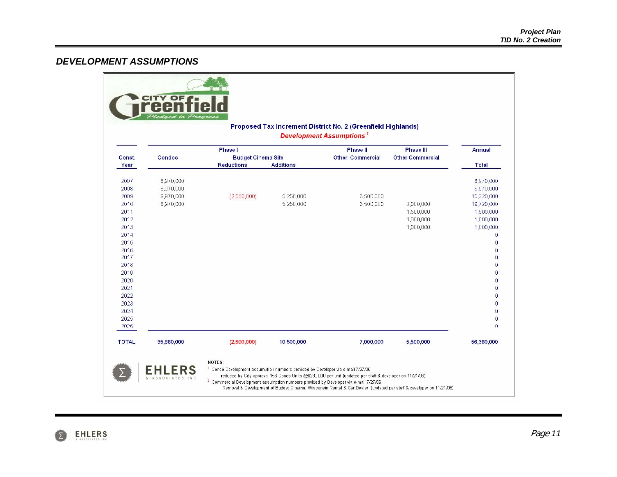## *DEVELOPMENT ASSUMPTIONS*

|                                                                                                                                                              |                                                  |                                                |                        | Proposed Tax Increment District No. 2 (Greenfield Highlands)<br><b>Development Assumptions<sup>1</sup></b> |                                                  |                                                                                                                                                                                                                                                                                                                         |
|--------------------------------------------------------------------------------------------------------------------------------------------------------------|--------------------------------------------------|------------------------------------------------|------------------------|------------------------------------------------------------------------------------------------------------|--------------------------------------------------|-------------------------------------------------------------------------------------------------------------------------------------------------------------------------------------------------------------------------------------------------------------------------------------------------------------------------|
|                                                                                                                                                              |                                                  | <b>Phase I</b>                                 |                        | <b>Phase II</b>                                                                                            | <b>Phase III</b>                                 | <b>Annual</b>                                                                                                                                                                                                                                                                                                           |
| Const.<br>Year                                                                                                                                               | <b>Condos</b>                                    | <b>Budget Cinema Site</b><br><b>Reductions</b> | <b>Additions</b>       | <b>Other Commercial</b>                                                                                    | <b>Other Commercial</b>                          | <b>Total</b>                                                                                                                                                                                                                                                                                                            |
| 2007<br>2008<br>2009<br>2010<br>2011<br>2012<br>2013<br>2014<br>2015<br>2016<br>2017<br>2018<br>2019<br>2020<br>2021<br>2022<br>2023<br>2024<br>2025<br>2026 | 8,970,000<br>8,970,000<br>8,970,000<br>8,970,000 | (2,500,000)                                    | 5,250,000<br>5,250,000 | 3,500,000<br>3,500,000                                                                                     | 2,000,000<br>1,500,000<br>1,000,000<br>1,000,000 | 8,970,000<br>8,970,000<br>15,220,000<br>19,720,000<br>1,500,000<br>1,000,000<br>1,000,000<br>$\overline{0}$<br>$\overline{0}$<br>$\overline{0}$<br>$\overline{0}$<br>$\theta$<br>$\sigma$<br>$\overline{0}$<br>$\overline{0}$<br>$\overline{0}$<br>$\overline{0}$<br>$\overline{0}$<br>$\overline{0}$<br>$\overline{0}$ |
| <b>TOTAL</b>                                                                                                                                                 | 35,880,000                                       | (2,500,000)                                    | 10,500,000             | 7,000,000                                                                                                  | 5,500,000                                        | 56,380,000                                                                                                                                                                                                                                                                                                              |

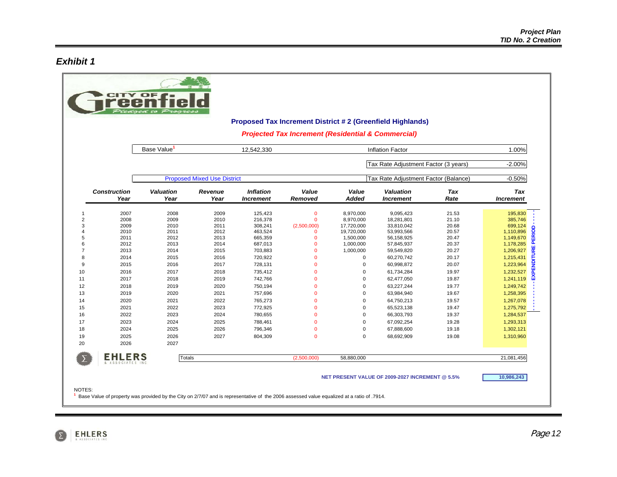#### *Exhibit 1*

|                     |                              |                          |                                    |                                      |                                                               |                         | <b>Proposed Tax Increment District #2 (Greenfield Highlands)</b> |                    |                                |
|---------------------|------------------------------|--------------------------|------------------------------------|--------------------------------------|---------------------------------------------------------------|-------------------------|------------------------------------------------------------------|--------------------|--------------------------------|
|                     |                              |                          |                                    |                                      | <b>Projected Tax Increment (Residential &amp; Commercial)</b> |                         |                                                                  |                    |                                |
|                     |                              | Base Value               |                                    | 12,542,330                           |                                                               |                         | <b>Inflation Factor</b>                                          |                    | 1.00%                          |
|                     |                              |                          |                                    |                                      |                                                               |                         | Tax Rate Adjustment Factor (3 years)                             |                    | $-2.00%$                       |
|                     |                              |                          | <b>Proposed Mixed Use District</b> |                                      |                                                               |                         | Tax Rate Adjustment Factor (Balance)                             |                    | $-0.50%$                       |
|                     | <b>Construction</b><br>Year  | <b>Valuation</b><br>Year | Revenue<br>Year                    | <b>Inflation</b><br><b>Increment</b> | Value<br>Removed                                              | Value<br><b>Added</b>   | <b>Valuation</b><br><b>Increment</b>                             | <b>Tax</b><br>Rate | <b>Tax</b><br><b>Increment</b> |
| 1                   | 2007                         | 2008                     | 2009                               | 125,423                              | $\mathbf 0$                                                   | 8,970,000               | 9,095,423                                                        | 21.53              | 195,830                        |
| $\overline{2}$<br>3 | 2008<br>2009                 | 2009<br>2010             | 2010<br>2011                       | 216,378<br>308,241                   | $\mathbf 0$<br>(2,500,000)                                    | 8,970,000<br>17,720,000 | 18,281,801<br>33,810,042                                         | 21.10<br>20.68     | 385,746<br>699,124             |
| 4                   | 2010                         | 2011                     | 2012                               | 463,524                              | $\mathbf{0}$                                                  | 19,720,000              | 53,993,566                                                       | 20.57              | $\circ$<br>1,110,896           |
| 5                   | 2011                         | 2012                     | 2013                               | 665,359                              | $\mathbf{0}$                                                  | 1,500,000               | 56,158,925                                                       | 20.47              | 홊<br>1,149,670                 |
| 6                   | 2012                         | 2013                     | 2014                               | 687,013                              | $\mathbf{0}$                                                  | 1,000,000               | 57,845,937                                                       | 20.37              | Δ<br>1,178,285                 |
| $\overline{7}$      | 2013                         | 2014                     | 2015                               | 703,883                              | $\Omega$                                                      | 1,000,000               | 59,549,820                                                       | 20.27              | 1,206,927<br>$\propto$         |
| 8                   | 2014                         | 2015                     | 2016                               | 720,922                              | $\Omega$                                                      | $\mathbf 0$             | 60,270,742                                                       | 20.17              | 1,215,431                      |
| 9                   | 2015                         | 2016                     | 2017                               | 728,131                              | $\Omega$                                                      | $\mathbf 0$             | 60,998,872                                                       | 20.07              | 1,223,964                      |
| 10                  | 2016                         | 2017                     | 2018                               | 735,412                              | $\Omega$                                                      | $\mathbf 0$             | 61,734,284                                                       | 19.97              | 1,232,527                      |
| 11                  | 2017                         | 2018                     | 2019                               | 742,766                              | $\Omega$                                                      | $\mathbf 0$             | 62,477,050                                                       | 19.87              | 1,241,119                      |
| 12                  | 2018                         | 2019                     | 2020                               | 750,194                              | $\Omega$                                                      | $\mathbf 0$             | 63,227,244                                                       | 19.77              | 1,249,742                      |
| 13                  | 2019                         | 2020                     | 2021                               | 757,696                              | $\Omega$                                                      | $\Omega$                | 63,984,940                                                       | 19.67              | 1,258,395                      |
| 14                  | 2020                         | 2021                     | 2022                               | 765,273                              | $\Omega$                                                      | $\Omega$                | 64,750,213                                                       | 19.57              | 1,267,078                      |
| 15                  | 2021                         | 2022                     | 2023                               | 772,925                              | $\Omega$                                                      | $\mathbf 0$             | 65,523,138                                                       | 19.47              | 1,275,792                      |
| 16                  | 2022                         | 2023                     | 2024                               | 780,655                              | $\Omega$                                                      | $\mathbf 0$             | 66,303,793                                                       | 19.37              | 1,284,537                      |
| 17                  | 2023                         | 2024                     | 2025                               | 788,461                              | $\Omega$                                                      | $\mathbf 0$             | 67,092,254                                                       | 19.28              | 1,293,313                      |
| 18<br>19            | 2024<br>2025                 | 2025<br>2026             | 2026                               | 796,346                              | $\mathbf{O}$<br>$\Omega$                                      | $\mathbf 0$<br>$\Omega$ | 67,888,600                                                       | 19.18              | 1,302,121                      |
|                     | 2026                         | 2027                     | 2027                               | 804,309                              |                                                               |                         | 68,692,909                                                       | 19.08              | 1,310,960                      |
| 20                  |                              |                          |                                    |                                      |                                                               |                         |                                                                  |                    |                                |
|                     | <b>EHLERS</b><br>OCIATES INC | <b>Totals</b>            |                                    |                                      | (2,500,000)                                                   | 58,880,000              |                                                                  |                    | 21,081,456                     |
|                     |                              |                          |                                    |                                      |                                                               |                         |                                                                  |                    |                                |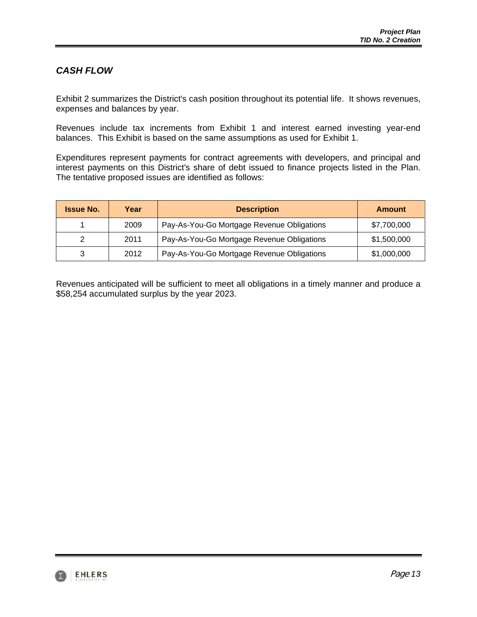# *CASH FLOW*

Exhibit 2 summarizes the District's cash position throughout its potential life. It shows revenues, expenses and balances by year.

Revenues include tax increments from Exhibit 1 and interest earned investing year-end balances. This Exhibit is based on the same assumptions as used for Exhibit 1.

Expenditures represent payments for contract agreements with developers, and principal and interest payments on this District's share of debt issued to finance projects listed in the Plan. The tentative proposed issues are identified as follows:

| <b>Issue No.</b> | Year | <b>Description</b>                         | <b>Amount</b> |
|------------------|------|--------------------------------------------|---------------|
|                  | 2009 | Pay-As-You-Go Mortgage Revenue Obligations | \$7,700,000   |
|                  | 2011 | Pay-As-You-Go Mortgage Revenue Obligations | \$1,500,000   |
|                  | 2012 | Pay-As-You-Go Mortgage Revenue Obligations | \$1,000,000   |

Revenues anticipated will be sufficient to meet all obligations in a timely manner and produce a \$58,254 accumulated surplus by the year 2023.

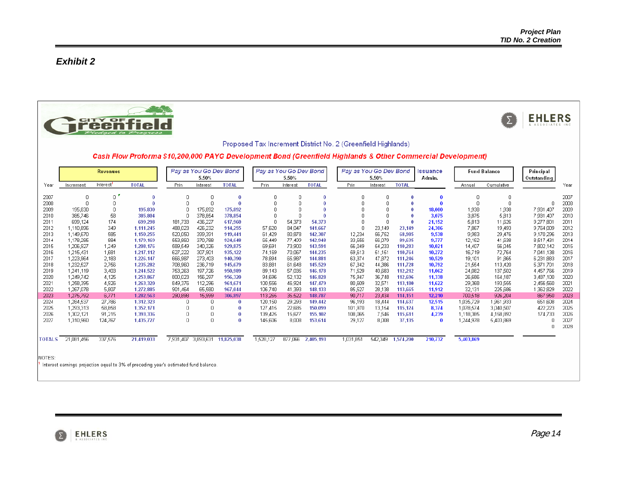# *Exhibit 2*





Proposed Tax Increment District No. 2 (Greenfield Highlands)

Cash Flow Proforma \$10,200,000 PAYG Development Bond (Greenfield Highlands & Other Commercial Development)

|               |            | <b>Revenues</b> |                                                                                      |                | Pay as You Go Dev Bond<br>5.50% |              |           | Pay as You Go Dev Bond<br>5.50% |              | Pay as You Go Dev Bond | 5.50%    |              | <b>Issuance</b><br>Admin. |           | <b>Fund Balance</b> | Principal<br>Outstanding |      |
|---------------|------------|-----------------|--------------------------------------------------------------------------------------|----------------|---------------------------------|--------------|-----------|---------------------------------|--------------|------------------------|----------|--------------|---------------------------|-----------|---------------------|--------------------------|------|
| Year          | Increment  | Interest        | <b>TOTAL</b>                                                                         | Prin           | Interest                        | <b>TOTAL</b> | Prin      | Interest                        | <b>TOTAL</b> | Prin                   | Interest | <b>TOTAL</b> |                           | Annual    | Cumulative          |                          | Year |
| 2007          | 0          | 0               |                                                                                      | 0              |                                 |              | 0         | 0                               |              | 0                      | 0        | $\bf{0}$     |                           | 0         | 0                   |                          | 2007 |
| 2008          |            | 0               |                                                                                      | $\mathbf 0$    |                                 |              | 0         | 0                               |              | 0                      |          | $\bf{0}$     |                           | 0         | $\overline{0}$      | 0                        | 2008 |
| 2009          | 195,830    | 0               | 195,830                                                                              | 0              | 175,892                         | 175,892      | 0         |                                 |              | 0                      |          |              | 18,000                    | 1,938     | 1,938               | 7,931,407                | 2009 |
| 2010          | 385,746    | 58              | 385,804                                                                              | 0              | 378,854                         | 378,854      |           |                                 |              |                        |          |              | 3,075                     | 3,875     | 5,813               | 7,931,407                | 2010 |
| 2011          | 699,124    | 174             | 699,298                                                                              | 181,733        | 436,227                         | 617,960      |           | 54,373                          | 54,373       |                        |          | $\bf{0}$     | 21,152                    | 5,813     | 11,626              | 9,277,801                | 2011 |
| 2012          | 1.110.896  | 349             | 1.111.245                                                                            | 488,023        | 426,232                         | 914,255      | 57,620    | 84,047                          | 141,667      |                        | 23,149   | 23,149       | 24,306                    | 7,867     | 19,493              | 9,764,009                | 2012 |
| 2013          | 1,149,670  | 585             | 1.150.255                                                                            | 520,050        | 399,391                         | 919,441      | 61,429    | 80,878                          | 142,307      | 12,234                 | 56,752   | 68,985       | 9.538                     | 9,983     | 29,476              | 9,170,296                | 2013 |
| 2014          | 1,178,285  | 884             | 1,179,169                                                                            | 553,860        | 370,788                         | 924,648      | 65,449    | 77,499                          | 142,948      | 33,556                 | 56,079   | 89,635       | 9,777                     | 12,162    | 41,638              | 8,517,431                | 2014 |
| 2015          | 1,206,927  | 1,249           | 1,208,176                                                                            | 589,549        | 340,326                         | 929,875      | 69,691    | 73,900                          | 143,591      | 56,049                 | 54,233   | 110,283      | 10.021                    | 14,407    | 56,045              | 7,802,142                | 2015 |
| 2016          | 1,215,431  | 1,681           | 1,217,112                                                                            | 627,222        | 307,901                         | 935,122      | 74,169    | 70,067                          | 144,235      | 59,613                 | 51,151   | 110,764      | 10,272                    | 16,719    | 72,764              | 7,041,138                | 2016 |
| 2017          | 1,223,964  | 2,183           | 1,226,147                                                                            | 666,987        | 273,403                         | 940.390      | 78,894    | 65,987                          | 144,881      | 63,374                 | 47,872   | 111,246      | 10,529                    | 19,101    | 91,865              | 6,231,883                | 2017 |
| 2018          | 1,232,527  | 2,756           | 1,235,282                                                                            | 708,960        | 236,719                         | 945,679      | 83,881    | 61,648                          | 145,529      | 67,342                 | 44,386   | 111,728      | 10,792                    | 21,554    | 113,420             | 5,371,701                | 2018 |
| 2019          | 1.241.119  | 3,403           | 1,244,522                                                                            | 753,263        | 197,726                         | 950,989      | 89,143    | 57,035                          | 146,178      | 71,529                 | 40,683   | 112,212      | 11,062                    | 24,082    | 137,502             | 4,457,766                | 2019 |
| 2020          | 1,249,742  | 4,125           | 1,253,867                                                                            | 800,023        | 156,297                         | 956,320      | 94,696    | 52,132                          | 146,828      | 75,947                 | 36,748   | 112,696      | 11,338                    | 26,686    | 164,187             | 3,487,100                | 2020 |
| 2021          | 1,258,395  | 4,926           | 1.263.320                                                                            | 849,376        | 112,296                         | 961.671      | 100,556   | 46,924                          | 147.479      | 80,609                 | 32,571   | 113,180      | 11.622                    | 29,368    | 193,555             | 2,456,560                | 2021 |
| 2022          | 1,267,078  | 5,807           | 1,272,885                                                                            | 901,464        | 65,580                          | 967.044      | 106,740   | 41,393                          | 148,133      | 85,527                 | 28,138   | 113,665      | 11.912                    | 32,131    | 225,686             | 1,362,829                | 2022 |
| 2023          | 1,275,792  | 6,771           | 1,282,563                                                                            | 290,898        | 15,999                          | 306,897      | 113,265   | 35,522                          | 148,787      | 90,717                 | 23,434   | 114,151      | 12.210                    | 700,518   | 926,204             | 867,950                  | 2023 |
| 2024          | 1,284,537  | 27,786          | 1,312,323                                                                            | 0              |                                 | $\bf{0}$     | 120,150   | 29,293                          | 149.442      | 96,193                 | 18,444   | 114,637      | 12,515                    | 1,035,729 | 1,961,933           | 651,608                  | 2024 |
| 2025          | 1,293,313  | 58,858          | 1,352,171                                                                            | 0              |                                 |              | 127,415   | 22,685                          | 150,099      | 101,970                | 13,154   | 115,124      | 8,374                     | 1,078,574 | 3,040,507           | 422,223                  | 2025 |
| 2026          | 1,302,121  | 91.215          | 1,393,336                                                                            | 0              |                                 | $\bf{0}$     | 139,425   | 15,677                          | 155,102      | 108,065                | 7.546    | 115,611      | 4,239                     | 1,118,385 | 4,158,892           | 174,733                  | 2026 |
| 2027          | 1,310,960  | 124,767         | 1,435,727                                                                            | $\overline{0}$ | $\Omega$                        | $\bf{0}$     | 145,606   | 8,008                           | 153,614      | 29,127                 | 8,008    | 37,135       | $\bf{0}$                  | 1,244,978 | 5,403,869           | Π                        | 2027 |
|               |            |                 |                                                                                      |                |                                 |              |           |                                 |              |                        |          |              |                           |           |                     | 0                        | 2028 |
| <b>TOTALS</b> | 21,081,456 | 337,576         | 21,419,033                                                                           | 7,931,407      | 3,893,631                       | 11,825,038   | 1,528,127 | 877,066                         | 2,405,193    | 1,031,851              | 542,349  | 1,574,200    | 210,732                   | 5,403,869 |                     |                          |      |
|               |            |                 |                                                                                      |                |                                 |              |           |                                 |              |                        |          |              |                           |           |                     |                          |      |
| INOTES:       |            |                 |                                                                                      |                |                                 |              |           |                                 |              |                        |          |              |                           |           |                     |                          |      |
|               |            |                 | Interest earnings projection equal to 3% of preceding year's estimated fund balance. |                |                                 |              |           |                                 |              |                        |          |              |                           |           |                     |                          |      |

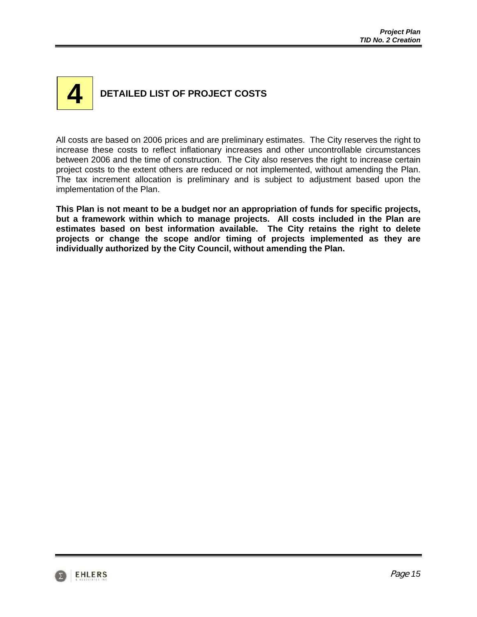# **DETAILED LIST OF PROJECT COSTS 4**

All costs are based on 2006 prices and are preliminary estimates. The City reserves the right to increase these costs to reflect inflationary increases and other uncontrollable circumstances between 2006 and the time of construction. The City also reserves the right to increase certain project costs to the extent others are reduced or not implemented, without amending the Plan. The tax increment allocation is preliminary and is subject to adjustment based upon the implementation of the Plan.

**This Plan is not meant to be a budget nor an appropriation of funds for specific projects, but a framework within which to manage projects. All costs included in the Plan are estimates based on best information available. The City retains the right to delete projects or change the scope and/or timing of projects implemented as they are individually authorized by the City Council, without amending the Plan.** 

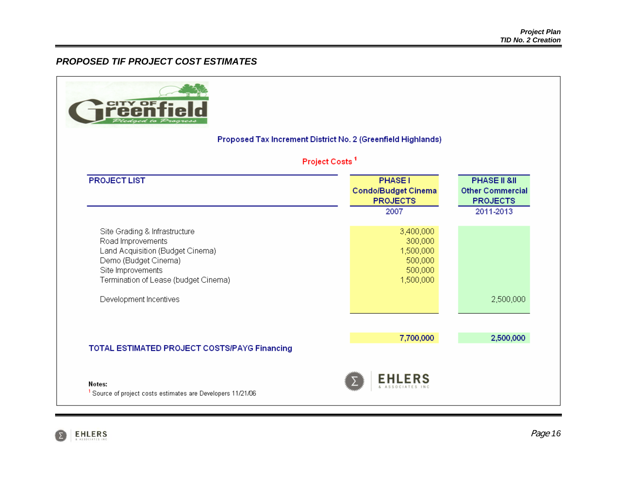# *PROPOSED TIF PROJECT COST ESTIMATES*

|                                                                                                                                                                             | Proposed Tax Increment District No. 2 (Greenfield Highlands)                                 |                                                            |
|-----------------------------------------------------------------------------------------------------------------------------------------------------------------------------|----------------------------------------------------------------------------------------------|------------------------------------------------------------|
| <b>PROJECT LIST</b>                                                                                                                                                         | Project Costs <sup>1</sup><br><b>PHASE1</b><br><b>Condo/Budget Cinema</b><br><b>PROJECTS</b> | PHASE II &II<br><b>Other Commercial</b><br><b>PROJECTS</b> |
|                                                                                                                                                                             | 2007                                                                                         | 2011-2013                                                  |
| Site Grading & Infrastructure<br>Road Improvements<br>Land Acquisition (Budget Cinema)<br>Demo (Budget Cinema)<br>Site Improvements<br>Termination of Lease (budget Cinema) | 3,400,000<br>300,000<br>1,500,000<br>500,000<br>500,000<br>1,500,000                         |                                                            |
| Development Incentives                                                                                                                                                      |                                                                                              | 2,500,000                                                  |
|                                                                                                                                                                             |                                                                                              |                                                            |
|                                                                                                                                                                             | 7,700,000                                                                                    | 2,500,000                                                  |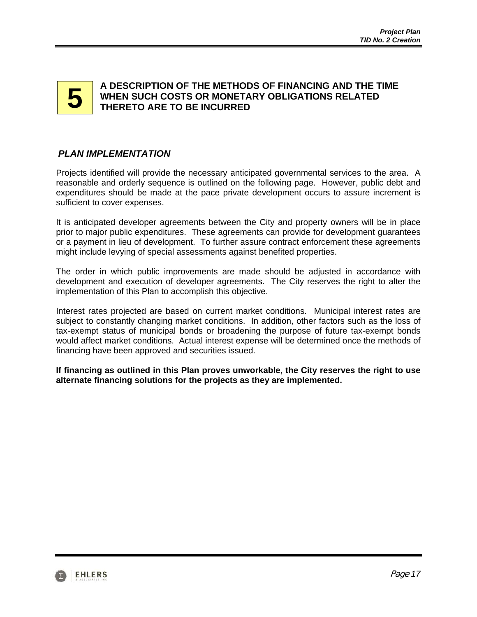# **5**

### **A DESCRIPTION OF THE METHODS OF FINANCING AND THE TIME WHEN SUCH COSTS OR MONETARY OBLIGATIONS RELATED THERETO ARE TO BE INCURRED**

# *PLAN IMPLEMENTATION*

Projects identified will provide the necessary anticipated governmental services to the area. A reasonable and orderly sequence is outlined on the following page. However, public debt and expenditures should be made at the pace private development occurs to assure increment is sufficient to cover expenses.

It is anticipated developer agreements between the City and property owners will be in place prior to major public expenditures. These agreements can provide for development guarantees or a payment in lieu of development. To further assure contract enforcement these agreements might include levying of special assessments against benefited properties.

The order in which public improvements are made should be adjusted in accordance with development and execution of developer agreements. The City reserves the right to alter the implementation of this Plan to accomplish this objective.

Interest rates projected are based on current market conditions. Municipal interest rates are subject to constantly changing market conditions. In addition, other factors such as the loss of tax-exempt status of municipal bonds or broadening the purpose of future tax-exempt bonds would affect market conditions. Actual interest expense will be determined once the methods of financing have been approved and securities issued.

**If financing as outlined in this Plan proves unworkable, the City reserves the right to use alternate financing solutions for the projects as they are implemented.** 

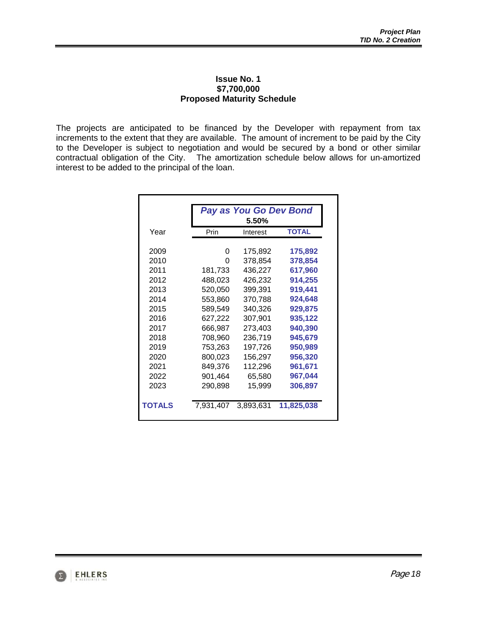#### **Issue No. 1 \$7,700,000 Proposed Maturity Schedule**

The projects are anticipated to be financed by the Developer with repayment from tax increments to the extent that they are available. The amount of increment to be paid by the City to the Developer is subject to negotiation and would be secured by a bond or other similar contractual obligation of the City. The amortization schedule below allows for un-amortized interest to be added to the principal of the loan.

|               |           | <b>Pay as You Go Dev Bond</b> |              |
|---------------|-----------|-------------------------------|--------------|
| Year          | Prin      | 5.50%<br>Interest             | <b>TOTAL</b> |
|               |           |                               |              |
| 2009          | 0         | 175,892                       | 175,892      |
| 2010          | O         | 378,854                       | 378,854      |
| 2011          | 181,733   | 436,227                       | 617,960      |
| 2012          | 488,023   | 426,232                       | 914,255      |
| 2013          | 520,050   | 399,391                       | 919,441      |
| 2014          | 553,860   | 370,788                       | 924,648      |
| 2015          | 589,549   | 340,326                       | 929,875      |
| 2016          | 627,222   | 307,901                       | 935,122      |
| 2017          | 666,987   | 273,403                       | 940,390      |
| 2018          | 708,960   | 236,719                       | 945,679      |
| 2019          | 753,263   | 197,726                       | 950,989      |
| 2020          | 800,023   | 156,297                       | 956,320      |
| 2021          | 849,376   | 112,296                       | 961,671      |
| 2022          | 901,464   | 65,580                        | 967,044      |
| 2023          | 290,898   | 15,999                        | 306,897      |
| <b>TOTALS</b> | 7,931,407 | 3,893,631                     | 11,825,038   |

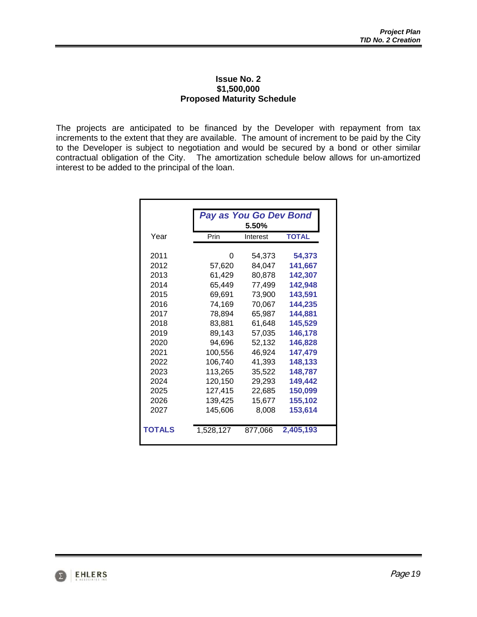#### **Issue No. 2 \$1,500,000 Proposed Maturity Schedule**

The projects are anticipated to be financed by the Developer with repayment from tax increments to the extent that they are available. The amount of increment to be paid by the City to the Developer is subject to negotiation and would be secured by a bond or other similar contractual obligation of the City. The amortization schedule below allows for un-amortized interest to be added to the principal of the loan.

|               |           | Pay as You Go Dev Bond |              |
|---------------|-----------|------------------------|--------------|
|               |           | 5.50%                  |              |
| Year          | Prin      | Interest               | <b>TOTAL</b> |
| 2011          | 0         | 54,373                 | 54,373       |
| 2012          | 57,620    | 84,047                 | 141,667      |
| 2013          | 61,429    | 80,878                 | 142,307      |
| 2014          | 65.449    | 77,499                 | 142,948      |
| 2015          | 69,691    | 73,900                 | 143,591      |
| 2016          | 74,169    | 70,067                 | 144,235      |
| 2017          | 78,894    | 65,987                 | 144,881      |
| 2018          | 83,881    | 61,648                 | 145,529      |
| 2019          | 89,143    | 57,035                 | 146,178      |
| 2020          | 94,696    | 52,132                 | 146,828      |
| 2021          | 100,556   | 46,924                 | 147,479      |
| 2022          | 106,740   | 41,393                 | 148,133      |
| 2023          | 113,265   | 35,522                 | 148,787      |
| 2024          | 120,150   | 29,293                 | 149,442      |
| 2025          | 127,415   | 22,685                 | 150,099      |
| 2026          | 139,425   | 15,677                 | 155,102      |
| 2027          | 145,606   | 8,008                  | 153,614      |
| <b>TOTALS</b> | 1,528,127 | 877,066                | 2,405,193    |

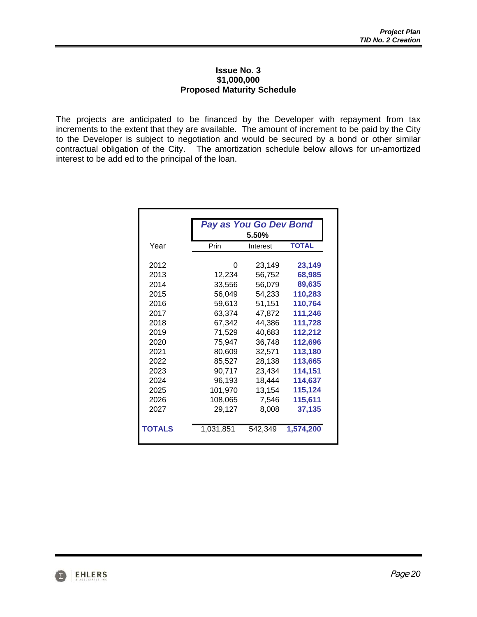#### **Issue No. 3 \$1,000,000 Proposed Maturity Schedule**

The projects are anticipated to be financed by the Developer with repayment from tax increments to the extent that they are available. The amount of increment to be paid by the City to the Developer is subject to negotiation and would be secured by a bond or other similar contractual obligation of the City. The amortization schedule below allows for un-amortized interest to be add ed to the principal of the loan.

|               |           | <b>Pay as You Go Dev Bond</b><br>5.50% |              |  |  |  |  |  |
|---------------|-----------|----------------------------------------|--------------|--|--|--|--|--|
| Year          | Prin      | Interest                               | <b>TOTAL</b> |  |  |  |  |  |
| 2012          | 0         | 23,149                                 | 23,149       |  |  |  |  |  |
| 2013          | 12,234    | 56,752                                 | 68,985       |  |  |  |  |  |
| 2014          | 33,556    | 56,079                                 | 89,635       |  |  |  |  |  |
| 2015          | 56,049    | 54,233                                 | 110,283      |  |  |  |  |  |
| 2016          | 59,613    | 51,151                                 | 110,764      |  |  |  |  |  |
| 2017          | 63,374    | 47,872                                 | 111,246      |  |  |  |  |  |
| 2018          | 67,342    | 44,386                                 | 111,728      |  |  |  |  |  |
| 2019          | 71,529    | 40,683                                 | 112,212      |  |  |  |  |  |
| 2020          | 75,947    | 36,748                                 | 112,696      |  |  |  |  |  |
| 2021          | 80,609    | 32,571                                 | 113,180      |  |  |  |  |  |
| 2022          | 85,527    | 28,138                                 | 113,665      |  |  |  |  |  |
| 2023          | 90,717    | 23,434                                 | 114,151      |  |  |  |  |  |
| 2024          | 96,193    | 18,444                                 | 114,637      |  |  |  |  |  |
| 2025          | 101,970   | 13,154                                 | 115,124      |  |  |  |  |  |
| 2026          | 108,065   | 7,546                                  | 115,611      |  |  |  |  |  |
| 2027          | 29,127    | 8,008                                  | 37,135       |  |  |  |  |  |
| <b>TOTALS</b> | 1,031,851 | 542,349                                | 1,574,200    |  |  |  |  |  |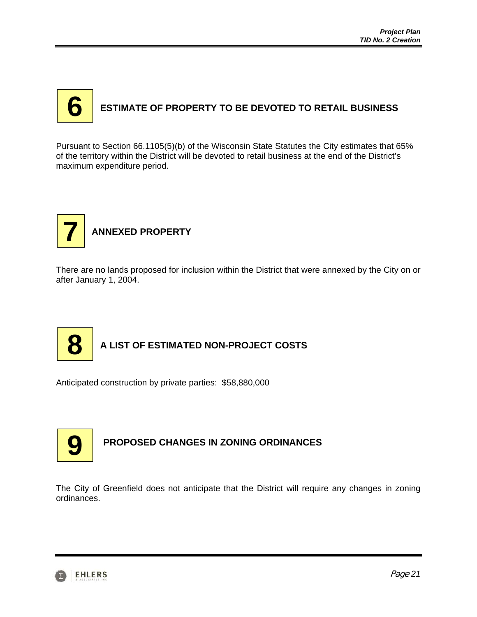# **ESTIMATE OF PROPERTY TO BE DEVOTED TO RETAIL BUSINESS 6**

Pursuant to Section 66.1105(5)(b) of the Wisconsin State Statutes the City estimates that 65% of the territory within the District will be devoted to retail business at the end of the District's maximum expenditure period.



There are no lands proposed for inclusion within the District that were annexed by the City on or after January 1, 2004.



# **A LIST OF ESTIMATED NON-PROJECT COSTS**

Anticipated construction by private parties: \$58,880,000



# **PROPOSED CHANGES IN ZONING ORDINANCES**

The City of Greenfield does not anticipate that the District will require any changes in zoning ordinances.

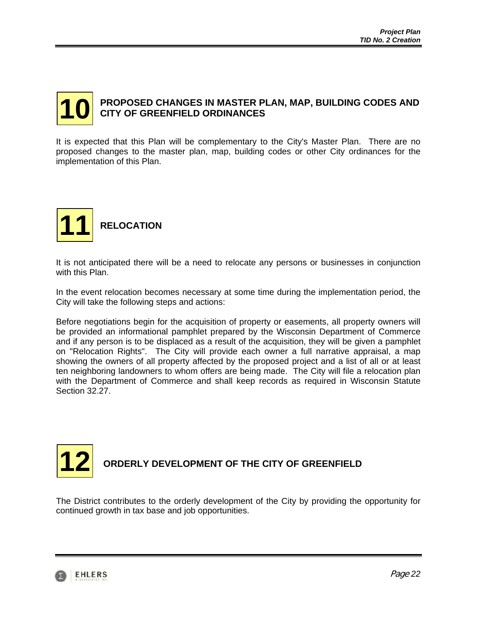#### **PROPOSED CHANGES IN MASTER PLAN, MAP, BUILDING CODES AND CITY OF GREENFIELD ORDINANCES 10**

It is expected that this Plan will be complementary to the City's Master Plan. There are no proposed changes to the master plan, map, building codes or other City ordinances for the implementation of this Plan.



It is not anticipated there will be a need to relocate any persons or businesses in conjunction with this Plan.

In the event relocation becomes necessary at some time during the implementation period, the City will take the following steps and actions:

Before negotiations begin for the acquisition of property or easements, all property owners will be provided an informational pamphlet prepared by the Wisconsin Department of Commerce and if any person is to be displaced as a result of the acquisition, they will be given a pamphlet on "Relocation Rights". The City will provide each owner a full narrative appraisal, a map showing the owners of all property affected by the proposed project and a list of all or at least ten neighboring landowners to whom offers are being made. The City will file a relocation plan with the Department of Commerce and shall keep records as required in Wisconsin Statute Section 32.27.



# **ORDERLY DEVELOPMENT OF THE CITY OF GREENFIELD**

The District contributes to the orderly development of the City by providing the opportunity for continued growth in tax base and job opportunities.

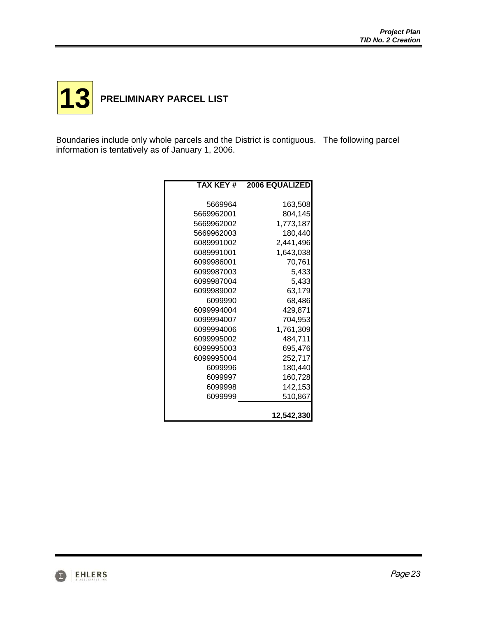

Boundaries include only whole parcels and the District is contiguous. The following parcel information is tentatively as of January 1, 2006.

| TAX KEY #  | <b>2006 EQUALIZED</b> |
|------------|-----------------------|
|            |                       |
| 5669964    | 163,508               |
| 5669962001 | 804,145               |
| 5669962002 | 1,773,187             |
| 5669962003 | 180,440               |
| 6089991002 | 2,441,496             |
| 6089991001 | 1,643,038             |
| 6099986001 | 70,761                |
| 6099987003 | 5,433                 |
| 6099987004 | 5,433                 |
| 6099989002 | 63,179                |
| 6099990    | 68,486                |
| 6099994004 | 429,871               |
| 6099994007 | 704,953               |
| 6099994006 | 1,761,309             |
| 6099995002 | 484,711               |
| 6099995003 | 695,476               |
| 6099995004 | 252,717               |
| 6099996    | 180,440               |
| 6099997    | 160,728               |
| 6099998    | 142,153               |
| 6099999    | 510,867               |
|            |                       |
|            | 12,542,330            |

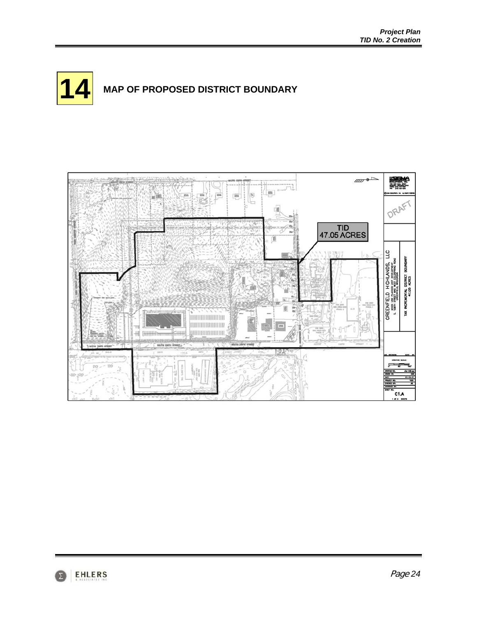



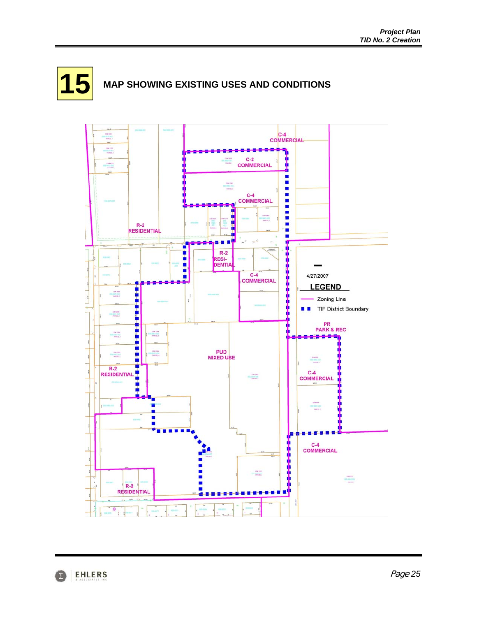

# **15** MAP SHOWING EXISTING USES AND CONDITIONS



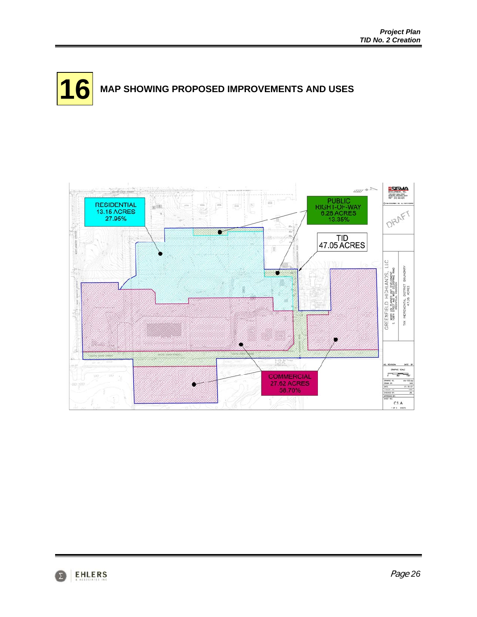